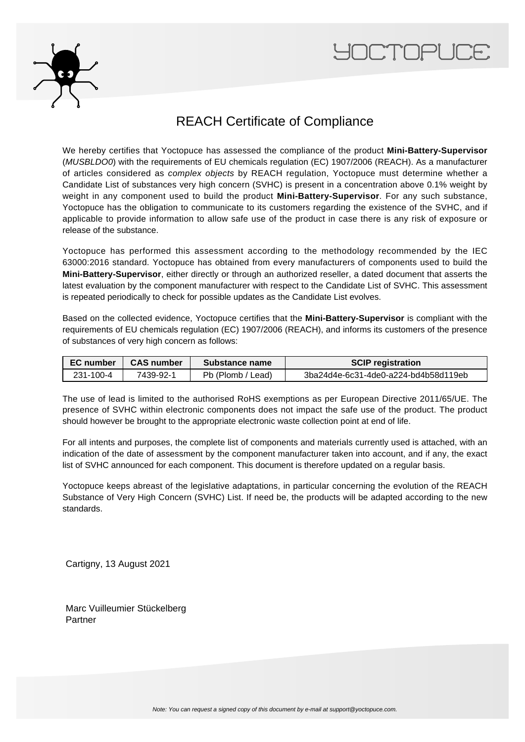



## REACH Certificate of Compliance

We hereby certifies that Yoctopuce has assessed the compliance of the product **Mini-Battery-Supervisor** (MUSBLDO0) with the requirements of EU chemicals regulation (EC) 1907/2006 (REACH). As a manufacturer of articles considered as complex objects by REACH regulation, Yoctopuce must determine whether a Candidate List of substances very high concern (SVHC) is present in a concentration above 0.1% weight by weight in any component used to build the product **Mini-Battery-Supervisor**. For any such substance, Yoctopuce has the obligation to communicate to its customers regarding the existence of the SVHC, and if applicable to provide information to allow safe use of the product in case there is any risk of exposure or release of the substance.

Yoctopuce has performed this assessment according to the methodology recommended by the IEC 63000:2016 standard. Yoctopuce has obtained from every manufacturers of components used to build the **Mini-Battery-Supervisor**, either directly or through an authorized reseller, a dated document that asserts the latest evaluation by the component manufacturer with respect to the Candidate List of SVHC. This assessment is repeated periodically to check for possible updates as the Candidate List evolves.

Based on the collected evidence, Yoctopuce certifies that the **Mini-Battery-Supervisor** is compliant with the requirements of EU chemicals regulation (EC) 1907/2006 (REACH), and informs its customers of the presence of substances of very high concern as follows:

| EC number | <b>CAS number</b> | Substance name    | <b>SCIP registration</b>             |
|-----------|-------------------|-------------------|--------------------------------------|
| 231-100-4 | 7439-92-1         | Pb (Plomb / Lead) | 3ba24d4e-6c31-4de0-a224-bd4b58d119eb |

The use of lead is limited to the authorised RoHS exemptions as per European Directive 2011/65/UE. The presence of SVHC within electronic components does not impact the safe use of the product. The product should however be brought to the appropriate electronic waste collection point at end of life.

For all intents and purposes, the complete list of components and materials currently used is attached, with an indication of the date of assessment by the component manufacturer taken into account, and if any, the exact list of SVHC announced for each component. This document is therefore updated on a regular basis.

Yoctopuce keeps abreast of the legislative adaptations, in particular concerning the evolution of the REACH Substance of Very High Concern (SVHC) List. If need be, the products will be adapted according to the new standards.

Cartigny, 13 August 2021

Marc Vuilleumier Stückelberg Partner